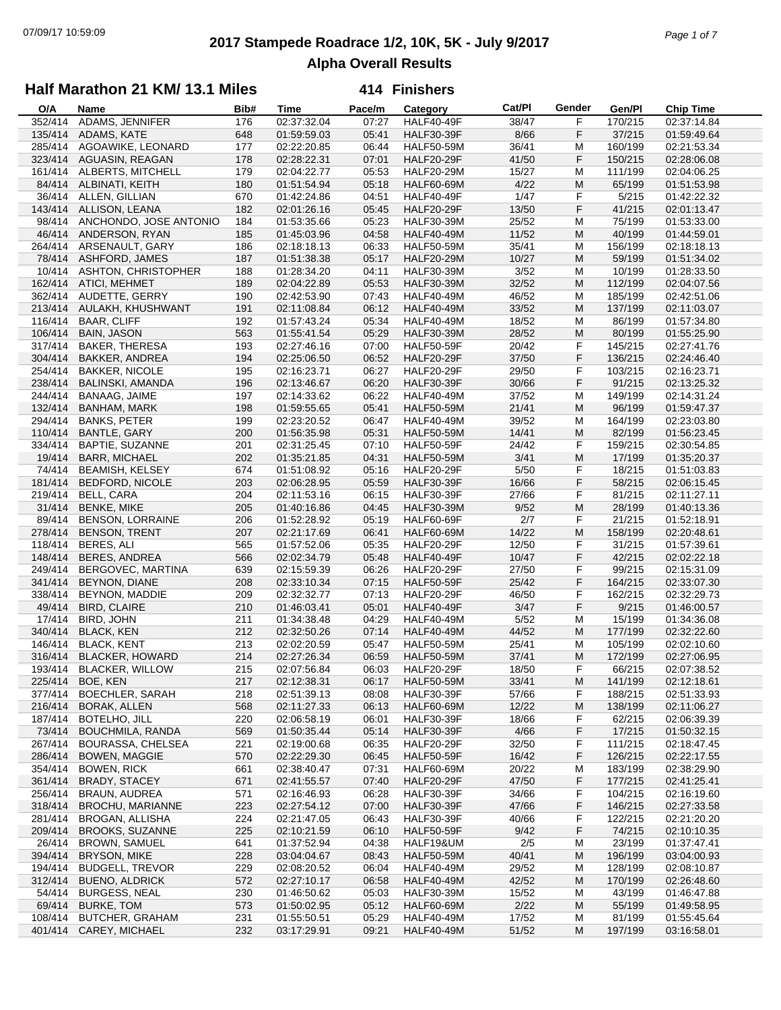# **2017 Stampede Roadrace 1/2, 10K, 5K - July 9/2017** 07/09/17 10:59:09 *Page 1 of 7* **Alpha Overall Results**

## **Half Marathon 21 KM/ 13.1 Miles**

| O/A     | Name                     | Bib# | <b>Time</b>                | Pace/m         | Category          | Cat/PI | Gender | Gen/Pl            | <b>Chip Time</b> |
|---------|--------------------------|------|----------------------------|----------------|-------------------|--------|--------|-------------------|------------------|
| 352/414 | ADAMS, JENNIFER          | 176  | 02:37:32.04                | 07:27          | <b>HALF40-49F</b> | 38/47  | F      | 170/215           | 02:37:14.84      |
| 135/414 | ADAMS, KATE              | 648  | 01:59:59.03                | 05:41          | <b>HALF30-39F</b> | 8/66   | F      | 37/215            | 01:59:49.64      |
| 285/414 | AGOAWIKE, LEONARD        | 177  | 02:22:20.85                | 06:44          | <b>HALF50-59M</b> | 36/41  | M      | 160/199           | 02:21:53.34      |
| 323/414 | AGUASIN, REAGAN          | 178  | 02:28:22.31                | 07:01          | <b>HALF20-29F</b> | 41/50  | F      | 150/215           | 02:28:06.08      |
| 161/414 | ALBERTS, MITCHELL        | 179  | 02:04:22.77                | 05:53          | <b>HALF20-29M</b> | 15/27  | M      | 111/199           | 02:04:06.25      |
| 84/414  | ALBINATI, KEITH          | 180  | 01:51:54.94                | 05:18          | <b>HALF60-69M</b> | 4/22   | M      | 65/199            | 01:51:53.98      |
| 36/414  | ALLEN, GILLIAN           | 670  | 01:42:24.86                | 04:51          | <b>HALF40-49F</b> | 1/47   | F      | 5/215             | 01:42:22.32      |
| 143/414 | ALLISON, LEANA           | 182  | 02:01:26.16                | 05:45          | <b>HALF20-29F</b> | 13/50  | F      | 41/215            | 02:01:13.47      |
| 98/414  | ANCHONDO, JOSE ANTONIO   | 184  | 01:53:35.66                | 05:23          | <b>HALF30-39M</b> | 25/52  | M      | 75/199            | 01:53:33.00      |
| 46/414  | ANDERSON, RYAN           | 185  | 01:45:03.96                | 04:58          | <b>HALF40-49M</b> | 11/52  | M      | 40/199            | 01:44:59.01      |
| 264/414 | ARSENAULT, GARY          | 186  | 02:18:18.13                | 06:33          | <b>HALF50-59M</b> | 35/41  | M      | 156/199           | 02:18:18.13      |
| 78/414  | ASHFORD, JAMES           | 187  | 01:51:38.38                | 05:17          | <b>HALF20-29M</b> | 10/27  | M      | 59/199            | 01:51:34.02      |
| 10/414  | ASHTON, CHRISTOPHER      | 188  | 01:28:34.20                | 04:11          | <b>HALF30-39M</b> | 3/52   | м      | 10/199            | 01:28:33.50      |
| 162/414 | <b>ATICI, MEHMET</b>     | 189  | 02:04:22.89                | 05:53          | <b>HALF30-39M</b> | 32/52  | M      | 112/199           | 02:04:07.56      |
| 362/414 | AUDETTE, GERRY           | 190  | 02:42:53.90                | 07:43          | <b>HALF40-49M</b> | 46/52  | M      | 185/199           | 02:42:51.06      |
| 213/414 | AULAKH, KHUSHWANT        | 191  | 02:11:08.84                | 06:12          | <b>HALF40-49M</b> | 33/52  | M      | 137/199           | 02:11:03.07      |
| 116/414 | <b>BAAR, CLIFF</b>       | 192  | 01:57:43.24                | 05:34          | <b>HALF40-49M</b> | 18/52  | м      | 86/199            | 01:57:34.80      |
| 106/414 | <b>BAIN, JASON</b>       | 563  | 01:55:41.54                | 05:29          | <b>HALF30-39M</b> | 28/52  | M      | 80/199            | 01:55:25.90      |
| 317/414 | <b>BAKER, THERESA</b>    | 193  | 02:27:46.16                | 07:00          | <b>HALF50-59F</b> | 20/42  | F      | 145/215           | 02:27:41.76      |
| 304/414 | <b>BAKKER, ANDREA</b>    | 194  | 02:25:06.50                | 06:52          | <b>HALF20-29F</b> | 37/50  | F      | 136/215           | 02:24:46.40      |
| 254/414 | <b>BAKKER, NICOLE</b>    | 195  | 02:16:23.71                | 06:27          | <b>HALF20-29F</b> | 29/50  | F      | 103/215           | 02:16:23.71      |
| 238/414 | <b>BALINSKI, AMANDA</b>  | 196  | 02:13:46.67                | 06:20          | <b>HALF30-39F</b> | 30/66  | F      | 91/215            | 02:13:25.32      |
| 244/414 | BANAAG, JAIME            | 197  | 02:14:33.62                | 06:22          | <b>HALF40-49M</b> | 37/52  | M      | 149/199           | 02:14:31.24      |
| 132/414 | <b>BANHAM, MARK</b>      | 198  | 01:59:55.65                | 05:41          | <b>HALF50-59M</b> | 21/41  | M      | 96/199            | 01:59:47.37      |
| 294/414 | <b>BANKS, PETER</b>      | 199  | 02:23:20.52                | 06:47          | <b>HALF40-49M</b> | 39/52  | M      | 164/199           | 02:23:03.80      |
| 110/414 | <b>BANTLE, GARY</b>      | 200  | 01:56:35.98                | 05:31          | <b>HALF50-59M</b> | 14/41  | M      | 82/199            | 01:56:23.45      |
| 334/414 |                          |      |                            |                |                   |        |        |                   |                  |
| 19/414  | BAPTIE, SUZANNE          | 201  | 02:31:25.45                | 07:10<br>04:31 | <b>HALF50-59F</b> | 24/42  | F<br>M | 159/215<br>17/199 | 02:30:54.85      |
|         | <b>BARR, MICHAEL</b>     | 202  | 01:35:21.85<br>01:51:08.92 |                | <b>HALF50-59M</b> | 3/41   |        |                   | 01:35:20.37      |
| 74/414  | <b>BEAMISH, KELSEY</b>   | 674  |                            | 05:16          | <b>HALF20-29F</b> | $5/50$ | F      | 18/215            | 01:51:03.83      |
| 181/414 | BEDFORD, NICOLE          | 203  | 02:06:28.95                | 05:59          | <b>HALF30-39F</b> | 16/66  | F      | 58/215            | 02:06:15.45      |
| 219/414 | BELL, CARA               | 204  | 02:11:53.16                | 06:15          | <b>HALF30-39F</b> | 27/66  | F      | 81/215            | 02:11:27.11      |
| 31/414  | <b>BENKE, MIKE</b>       | 205  | 01:40:16.86                | 04:45          | <b>HALF30-39M</b> | 9/52   | M      | 28/199            | 01:40:13.36      |
| 89/414  | <b>BENSON, LORRAINE</b>  | 206  | 01:52:28.92                | 05:19          | <b>HALF60-69F</b> | 2/7    | F      | 21/215            | 01:52:18.91      |
| 278/414 | <b>BENSON, TRENT</b>     | 207  | 02:21:17.69                | 06:41          | <b>HALF60-69M</b> | 14/22  | M      | 158/199           | 02:20:48.61      |
| 118/414 | BERES, ALI               | 565  | 01:57:52.06                | 05:35          | <b>HALF20-29F</b> | 12/50  | F      | 31/215            | 01:57:39.61      |
| 148/414 | <b>BERES, ANDREA</b>     | 566  | 02:02:34.79                | 05:48          | <b>HALF40-49F</b> | 10/47  | F      | 42/215            | 02:02:22.18      |
| 249/414 | BERGOVEC, MARTINA        | 639  | 02:15:59.39                | 06:26          | <b>HALF20-29F</b> | 27/50  | F      | 99/215            | 02:15:31.09      |
| 341/414 | BEYNON, DIANE            | 208  | 02:33:10.34                | 07:15          | <b>HALF50-59F</b> | 25/42  | F      | 164/215           | 02:33:07.30      |
| 338/414 | BEYNON, MADDIE           | 209  | 02:32:32.77                | 07:13          | <b>HALF20-29F</b> | 46/50  | F      | 162/215           | 02:32:29.73      |
| 49/414  | <b>BIRD, CLAIRE</b>      | 210  | 01:46:03.41                | 05:01          | <b>HALF40-49F</b> | 3/47   | F      | 9/215             | 01:46:00.57      |
| 17/414  | BIRD, JOHN               | 211  | 01:34:38.48                | 04:29          | <b>HALF40-49M</b> | $5/52$ | M      | 15/199            | 01:34:36.08      |
| 340/414 | <b>BLACK, KEN</b>        | 212  | 02:32:50.26                | 07:14          | <b>HALF40-49M</b> | 44/52  | M      | 177/199           | 02:32:22.60      |
| 146/414 | <b>BLACK, KENT</b>       | 213  | 02:02:20.59                | 05:47          | <b>HALF50-59M</b> | 25/41  | M      | 105/199           | 02:02:10.60      |
| 316/414 | <b>BLACKER, HOWARD</b>   | 214  | 02:27:26.34                | 06:59          | <b>HALF50-59M</b> | 37/41  | M      | 172/199           | 02:27:06.95      |
| 193/414 | <b>BLACKER, WILLOW</b>   | 215  | 02:07:56.84                | 06:03          | <b>HALF20-29F</b> | 18/50  | F      | 66/215            | 02:07:38.52      |
| 225/414 | BOE, KEN                 | 217  | 02:12:38.31                | 06:17          | <b>HALF50-59M</b> | 33/41  | M      | 141/199           | 02:12:18.61      |
| 377/414 | <b>BOECHLER, SARAH</b>   | 218  | 02:51:39.13                | 08:08          | <b>HALF30-39F</b> | 57/66  | F      | 188/215           | 02:51:33.93      |
| 216/414 | <b>BORAK, ALLEN</b>      | 568  | 02:11:27.33                | 06:13          | <b>HALF60-69M</b> | 12/22  | M      | 138/199           | 02:11:06.27      |
| 187/414 | <b>BOTELHO, JILL</b>     | 220  | 02:06:58.19                | 06:01          | <b>HALF30-39F</b> | 18/66  | F      | 62/215            | 02:06:39.39      |
| 73/414  | <b>BOUCHMILA, RANDA</b>  | 569  | 01:50:35.44                | 05:14          | HALF30-39F        | 4/66   | F      | 17/215            | 01:50:32.15      |
| 267/414 | <b>BOURASSA, CHELSEA</b> | 221  | 02:19:00.68                | 06:35          | <b>HALF20-29F</b> | 32/50  | F      | 111/215           | 02:18:47.45      |
| 286/414 | <b>BOWEN, MAGGIE</b>     | 570  | 02:22:29.30                | 06:45          | <b>HALF50-59F</b> | 16/42  | F      | 126/215           | 02:22:17.55      |
| 354/414 | <b>BOWEN, RICK</b>       | 661  | 02:38:40.47                | 07:31          | <b>HALF60-69M</b> | 20/22  | M      | 183/199           | 02:38:29.90      |
| 361/414 | <b>BRADY, STACEY</b>     | 671  | 02:41:55.57                | 07:40          | <b>HALF20-29F</b> | 47/50  | F      | 177/215           | 02:41:25.41      |
| 256/414 | <b>BRAUN, AUDREA</b>     | 571  | 02:16:46.93                | 06:28          | <b>HALF30-39F</b> | 34/66  | F      | 104/215           | 02:16:19.60      |
| 318/414 | BROCHU, MARIANNE         | 223  | 02:27:54.12                | 07:00          | <b>HALF30-39F</b> | 47/66  | F      | 146/215           | 02:27:33.58      |
| 281/414 | <b>BROGAN, ALLISHA</b>   | 224  | 02:21:47.05                | 06:43          | <b>HALF30-39F</b> | 40/66  | F      | 122/215           | 02:21:20.20      |
| 209/414 | <b>BROOKS, SUZANNE</b>   | 225  | 02:10:21.59                | 06:10          | <b>HALF50-59F</b> | 9/42   | F      | 74/215            | 02:10:10.35      |
| 26/414  | <b>BROWN, SAMUEL</b>     | 641  | 01:37:52.94                | 04:38          | HALF19&UM         | 2/5    | M      | 23/199            | 01:37:47.41      |
| 394/414 | <b>BRYSON, MIKE</b>      | 228  | 03:04:04.67                | 08:43          | <b>HALF50-59M</b> | 40/41  | M      | 196/199           | 03:04:00.93      |
| 194/414 | <b>BUDGELL, TREVOR</b>   | 229  | 02:08:20.52                | 06:04          | <b>HALF40-49M</b> | 29/52  | M      | 128/199           | 02:08:10.87      |
| 312/414 | <b>BUENO, ALDRICK</b>    | 572  | 02:27:10.17                | 06:58          | <b>HALF40-49M</b> | 42/52  | M      | 170/199           | 02:26:48.60      |
| 54/414  | <b>BURGESS, NEAL</b>     | 230  | 01:46:50.62                | 05:03          | <b>HALF30-39M</b> | 15/52  | M      | 43/199            | 01:46:47.88      |
| 69/414  | <b>BURKE, TOM</b>        | 573  | 01:50:02.95                | 05:12          | <b>HALF60-69M</b> | 2/22   | M      | 55/199            | 01:49:58.95      |
| 108/414 | <b>BUTCHER, GRAHAM</b>   | 231  | 01:55:50.51                | 05:29          | <b>HALF40-49M</b> | 17/52  | M      | 81/199            | 01:55:45.64      |
|         | 401/414 CAREY, MICHAEL   | 232  | 03:17:29.91                | 09:21          | <b>HALF40-49M</b> | 51/52  | M      | 197/199           | 03:16:58.01      |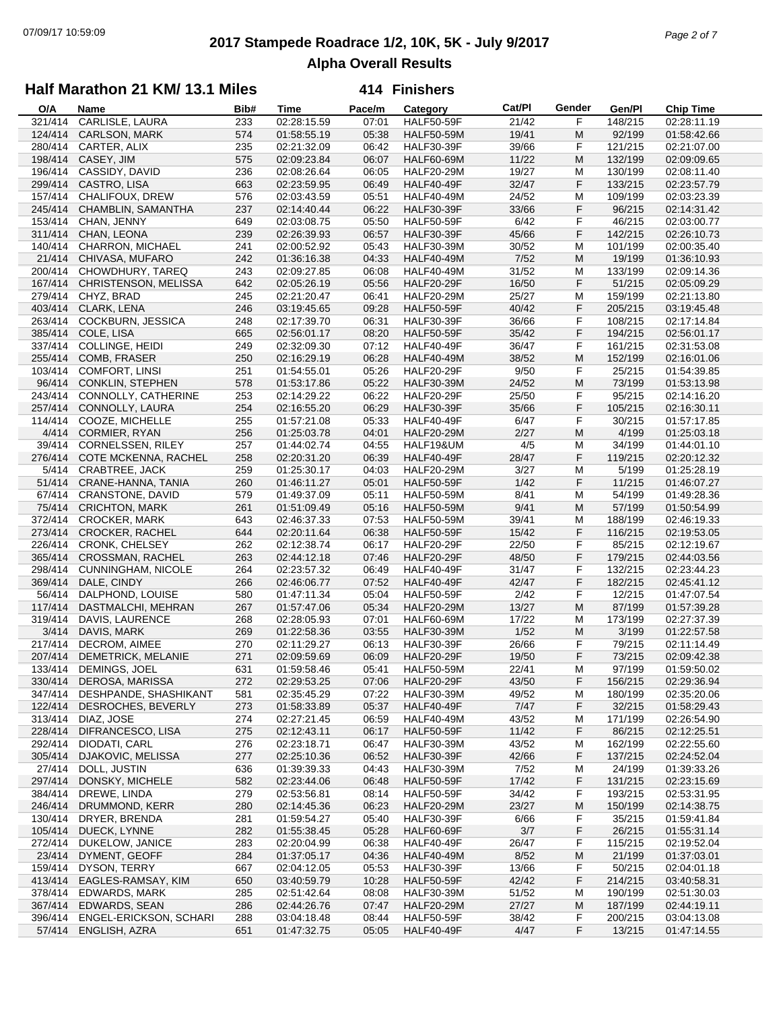# **2017 Stampede Roadrace 1/2, 10K, 5K - July 9/2017** 07/09/17 10:59:09 *Page 2 of 7* **Alpha Overall Results**

## **Half Marathon 21 KM/ 13.1 Miles**

| O/A     | Name                     | Bib# | <b>Time</b> | Pace/m | Category          | Cat/Pl | Gender | Gen/Pl  | <b>Chip Time</b> |
|---------|--------------------------|------|-------------|--------|-------------------|--------|--------|---------|------------------|
| 321/414 | CARLISLE, LAURA          | 233  | 02:28:15.59 | 07:01  | <b>HALF50-59F</b> | 21/42  | F      | 148/215 | 02:28:11.19      |
| 124/414 | CARLSON, MARK            | 574  | 01:58:55.19 | 05:38  | <b>HALF50-59M</b> | 19/41  | M      | 92/199  | 01:58:42.66      |
| 280/414 | CARTER, ALIX             | 235  | 02:21:32.09 | 06:42  | <b>HALF30-39F</b> | 39/66  | F      | 121/215 | 02:21:07.00      |
| 198/414 | CASEY, JIM               | 575  | 02:09:23.84 | 06:07  | <b>HALF60-69M</b> | 11/22  | M      | 132/199 | 02:09:09.65      |
| 196/414 | CASSIDY, DAVID           | 236  | 02:08:26.64 | 06:05  | <b>HALF20-29M</b> | 19/27  | M      | 130/199 | 02:08:11.40      |
| 299/414 | CASTRO, LISA             |      |             |        |                   | 32/47  | F      | 133/215 |                  |
|         |                          | 663  | 02:23:59.95 | 06:49  | <b>HALF40-49F</b> |        |        |         | 02:23:57.79      |
| 157/414 | CHALIFOUX, DREW          | 576  | 02:03:43.59 | 05:51  | <b>HALF40-49M</b> | 24/52  | M      | 109/199 | 02:03:23.39      |
| 245/414 | CHAMBLIN, SAMANTHA       | 237  | 02:14:40.44 | 06:22  | <b>HALF30-39F</b> | 33/66  | F      | 96/215  | 02:14:31.42      |
| 153/414 | CHAN, JENNY              | 649  | 02:03:08.75 | 05:50  | <b>HALF50-59F</b> | 6/42   | F      | 46/215  | 02:03:00.77      |
| 311/414 | CHAN, LEONA              | 239  | 02:26:39.93 | 06:57  | <b>HALF30-39F</b> | 45/66  | F      | 142/215 | 02:26:10.73      |
| 140/414 | CHARRON, MICHAEL         | 241  | 02:00:52.92 | 05:43  | <b>HALF30-39M</b> | 30/52  | M      | 101/199 | 02:00:35.40      |
| 21/414  | CHIVASA, MUFARO          | 242  | 01:36:16.38 | 04:33  | <b>HALF40-49M</b> | 7/52   | M      | 19/199  | 01:36:10.93      |
| 200/414 | CHOWDHURY, TAREQ         | 243  | 02:09:27.85 | 06:08  | <b>HALF40-49M</b> | 31/52  | M      | 133/199 | 02:09:14.36      |
| 167/414 | CHRISTENSON, MELISSA     | 642  | 02:05:26.19 | 05:56  | <b>HALF20-29F</b> | 16/50  | F      | 51/215  | 02:05:09.29      |
| 279/414 | CHYZ, BRAD               | 245  | 02:21:20.47 | 06:41  | <b>HALF20-29M</b> | 25/27  | M      | 159/199 | 02:21:13.80      |
| 403/414 | CLARK, LENA              | 246  | 03:19:45.65 | 09:28  | <b>HALF50-59F</b> | 40/42  | F      | 205/215 | 03:19:45.48      |
| 263/414 |                          |      |             |        |                   |        | F      |         |                  |
|         | COCKBURN, JESSICA        | 248  | 02:17:39.70 | 06:31  | <b>HALF30-39F</b> | 36/66  |        | 108/215 | 02:17:14.84      |
| 385/414 | COLE, LISA               | 665  | 02:56:01.17 | 08:20  | <b>HALF50-59F</b> | 35/42  | F      | 194/215 | 02:56:01.17      |
| 337/414 | COLLINGE, HEIDI          | 249  | 02:32:09.30 | 07:12  | <b>HALF40-49F</b> | 36/47  | F      | 161/215 | 02:31:53.08      |
| 255/414 | COMB, FRASER             | 250  | 02:16:29.19 | 06:28  | <b>HALF40-49M</b> | 38/52  | M      | 152/199 | 02:16:01.06      |
| 103/414 | <b>COMFORT, LINSI</b>    | 251  | 01:54:55.01 | 05:26  | <b>HALF20-29F</b> | 9/50   | F      | 25/215  | 01:54:39.85      |
|         | 96/414 CONKLIN, STEPHEN  | 578  | 01:53:17.86 | 05:22  | <b>HALF30-39M</b> | 24/52  | M      | 73/199  | 01:53:13.98      |
| 243/414 | CONNOLLY, CATHERINE      | 253  | 02:14:29.22 | 06:22  | <b>HALF20-29F</b> | 25/50  | F      | 95/215  | 02:14:16.20      |
| 257/414 | CONNOLLY, LAURA          | 254  | 02:16:55.20 | 06:29  | <b>HALF30-39F</b> | 35/66  | F      | 105/215 | 02:16:30.11      |
| 114/414 | COOZE, MICHELLE          | 255  | 01:57:21.08 | 05:33  | <b>HALF40-49F</b> | 6/47   | F      | 30/215  | 01:57:17.85      |
| 4/414   | CORMIER, RYAN            | 256  | 01:25:03.78 | 04:01  | <b>HALF20-29M</b> | 2/27   | M      | 4/199   | 01:25:03.18      |
| 39/414  | <b>CORNELSSEN, RILEY</b> | 257  | 01:44:02.74 | 04:55  | HALF19&UM         | 4/5    | M      | 34/199  | 01:44:01.10      |
|         |                          |      |             |        |                   |        |        |         |                  |
| 276/414 | COTE MCKENNA, RACHEL     | 258  | 02:20:31.20 | 06:39  | <b>HALF40-49F</b> | 28/47  | F      | 119/215 | 02:20:12.32      |
| 5/414   | <b>CRABTREE, JACK</b>    | 259  | 01:25:30.17 | 04:03  | <b>HALF20-29M</b> | 3/27   | M      | 5/199   | 01:25:28.19      |
| 51/414  | CRANE-HANNA, TANIA       | 260  | 01:46:11.27 | 05:01  | <b>HALF50-59F</b> | 1/42   | F      | 11/215  | 01:46:07.27      |
| 67/414  | <b>CRANSTONE, DAVID</b>  | 579  | 01:49:37.09 | 05:11  | <b>HALF50-59M</b> | 8/41   | M      | 54/199  | 01:49:28.36      |
| 75/414  | <b>CRICHTON, MARK</b>    | 261  | 01:51:09.49 | 05:16  | <b>HALF50-59M</b> | 9/41   | M      | 57/199  | 01:50:54.99      |
| 372/414 | <b>CROCKER, MARK</b>     | 643  | 02:46:37.33 | 07:53  | <b>HALF50-59M</b> | 39/41  | M      | 188/199 | 02:46:19.33      |
| 273/414 | <b>CROCKER, RACHEL</b>   | 644  | 02:20:11.64 | 06:38  | <b>HALF50-59F</b> | 15/42  | F      | 116/215 | 02:19:53.05      |
| 226/414 | <b>CRONK, CHELSEY</b>    | 262  | 02:12:38.74 | 06:17  | <b>HALF20-29F</b> | 22/50  | F      | 85/215  | 02:12:19.67      |
| 365/414 | <b>CROSSMAN, RACHEL</b>  | 263  | 02:44:12.18 | 07:46  | <b>HALF20-29F</b> | 48/50  | F      | 179/215 | 02:44:03.56      |
| 298/414 | CUNNINGHAM, NICOLE       | 264  | 02:23:57.32 | 06:49  | <b>HALF40-49F</b> | 31/47  | F      | 132/215 | 02:23:44.23      |
| 369/414 | DALE, CINDY              | 266  | 02:46:06.77 | 07:52  | <b>HALF40-49F</b> | 42/47  | F      | 182/215 | 02:45:41.12      |
|         |                          |      |             |        |                   |        |        |         |                  |
| 56/414  | DALPHOND, LOUISE         | 580  | 01:47:11.34 | 05:04  | <b>HALF50-59F</b> | 2/42   | F      | 12/215  | 01:47:07.54      |
| 117/414 | DASTMALCHI, MEHRAN       | 267  | 01:57:47.06 | 05:34  | <b>HALF20-29M</b> | 13/27  | M      | 87/199  | 01:57:39.28      |
| 319/414 | DAVIS, LAURENCE          | 268  | 02:28:05.93 | 07:01  | HALF60-69M        | 17/22  | М      | 173/199 | 02:27:37.39      |
| 3/414   | DAVIS, MARK              | 269  | 01:22:58.36 | 03:55  | <b>HALF30-39M</b> | 1/52   | M      | 3/199   | 01:22:57.58      |
| 217/414 | DECROM, AIMEE            | 270  | 02:11:29.27 | 06:13  | <b>HALF30-39F</b> | 26/66  | F      | 79/215  | 02:11:14.49      |
| 207/414 | DEMETRICK, MELANIE       | 271  | 02:09:59.69 | 06:09  | <b>HALF20-29F</b> | 19/50  | F      | 73/215  | 02:09:42.38      |
| 133/414 | DEMINGS, JOEL            | 631  | 01:59:58.46 | 05:41  | <b>HALF50-59M</b> | 22/41  | M      | 97/199  | 01:59:50.02      |
| 330/414 | DEROSA, MARISSA          | 272  | 02:29:53.25 | 07:06  | <b>HALF20-29F</b> | 43/50  | F      | 156/215 | 02:29:36.94      |
| 347/414 | DESHPANDE, SHASHIKANT    | 581  | 02:35:45.29 | 07:22  | <b>HALF30-39M</b> | 49/52  | M      | 180/199 | 02:35:20.06      |
| 122/414 | DESROCHES, BEVERLY       | 273  | 01:58:33.89 | 05:37  | <b>HALF40-49F</b> | 7/47   | F      | 32/215  | 01:58:29.43      |
| 313/414 | DIAZ, JOSE               | 274  |             | 06:59  |                   | 43/52  |        | 171/199 | 02:26:54.90      |
|         |                          |      | 02:27:21.45 |        | <b>HALF40-49M</b> |        | M      |         |                  |
| 228/414 | DIFRANCESCO, LISA        | 275  | 02:12:43.11 | 06:17  | <b>HALF50-59F</b> | 11/42  | F      | 86/215  | 02:12:25.51      |
| 292/414 | DIODATI, CARL            | 276  | 02:23:18.71 | 06:47  | <b>HALF30-39M</b> | 43/52  | M      | 162/199 | 02:22:55.60      |
| 305/414 | DJAKOVIC, MELISSA        | 277  | 02:25:10.36 | 06:52  | <b>HALF30-39F</b> | 42/66  | F      | 137/215 | 02:24:52.04      |
| 27/414  | DOLL, JUSTIN             | 636  | 01:39:39.33 | 04:43  | <b>HALF30-39M</b> | 7/52   | M      | 24/199  | 01:39:33.26      |
| 297/414 | DONSKY, MICHELE          | 582  | 02:23:44.06 | 06:48  | <b>HALF50-59F</b> | 17/42  | F      | 131/215 | 02:23:15.69      |
| 384/414 | DREWE, LINDA             | 279  | 02:53:56.81 | 08:14  | <b>HALF50-59F</b> | 34/42  | F      | 193/215 | 02:53:31.95      |
| 246/414 | DRUMMOND, KERR           | 280  | 02:14:45.36 | 06:23  | <b>HALF20-29M</b> | 23/27  | M      | 150/199 | 02:14:38.75      |
| 130/414 | DRYER, BRENDA            | 281  | 01:59:54.27 | 05:40  | <b>HALF30-39F</b> | 6/66   | F      | 35/215  | 01:59:41.84      |
| 105/414 | DUECK, LYNNE             | 282  | 01:55:38.45 | 05:28  | <b>HALF60-69F</b> | 3/7    | F      | 26/215  | 01:55:31.14      |
| 272/414 | DUKELOW, JANICE          | 283  | 02:20:04.99 | 06:38  | <b>HALF40-49F</b> | 26/47  | F      | 115/215 | 02:19:52.04      |
|         |                          |      |             |        |                   |        |        |         |                  |
| 23/414  | DYMENT, GEOFF            | 284  | 01:37:05.17 | 04:36  | <b>HALF40-49M</b> | 8/52   | M      | 21/199  | 01:37:03.01      |
| 159/414 | DYSON, TERRY             | 667  | 02:04:12.05 | 05:53  | <b>HALF30-39F</b> | 13/66  | F      | 50/215  | 02:04:01.18      |
| 413/414 | EAGLES-RAMSAY, KIM       | 650  | 03:40:59.79 | 10:28  | <b>HALF50-59F</b> | 42/42  | F      | 214/215 | 03:40:58.31      |
| 378/414 | <b>EDWARDS, MARK</b>     | 285  | 02:51:42.64 | 08:08  | <b>HALF30-39M</b> | 51/52  | M      | 190/199 | 02:51:30.03      |
| 367/414 | EDWARDS, SEAN            | 286  | 02:44:26.76 | 07:47  | <b>HALF20-29M</b> | 27/27  | M      | 187/199 | 02:44:19.11      |
| 396/414 | ENGEL-ERICKSON, SCHARI   | 288  | 03:04:18.48 | 08:44  | <b>HALF50-59F</b> | 38/42  | F      | 200/215 | 03:04:13.08      |
| 57/414  | ENGLISH, AZRA            | 651  | 01:47:32.75 | 05:05  | HALF40-49F        | 4/47   | F      | 13/215  | 01:47:14.55      |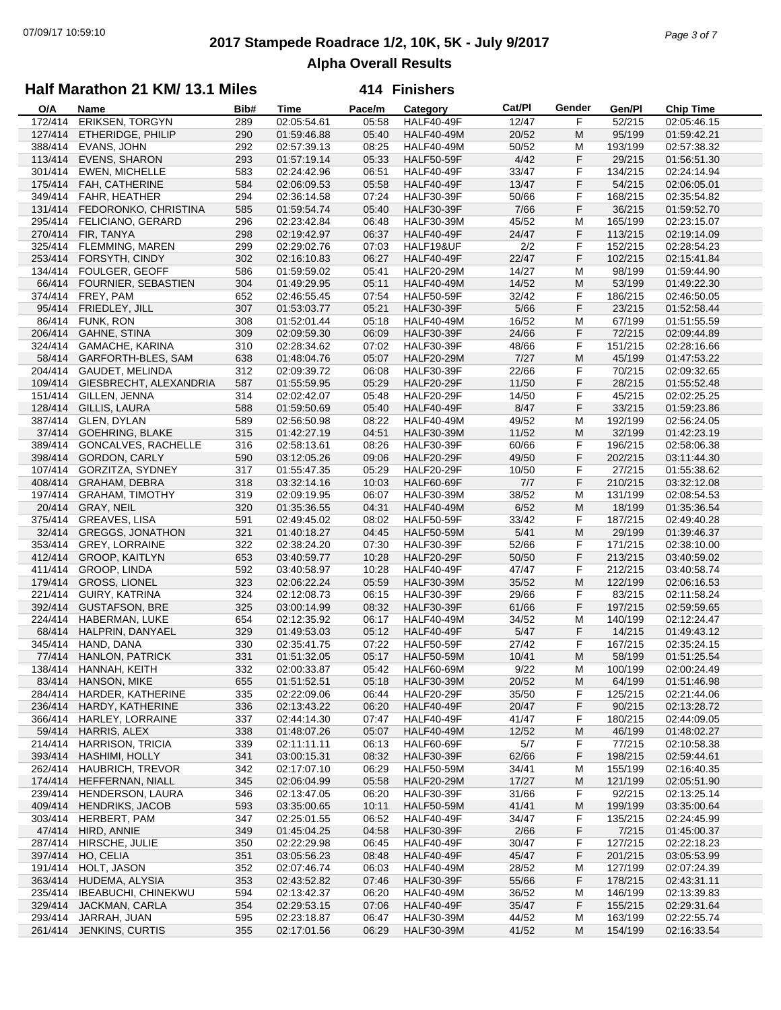# **2017 Stampede Roadrace 1/2, 10K, 5K - July 9/2017** 07/09/17 10:59:10 *Page 3 of 7* **Alpha Overall Results**

### **Half Marathon 21 KM/ 13.1 Miles**

| O/A               | Name                       | Bib# | <b>Time</b> | Pace/m | Category          | Cat/PI | Gender | Gen/Pl  | <b>Chip Time</b> |
|-------------------|----------------------------|------|-------------|--------|-------------------|--------|--------|---------|------------------|
| 172/414           | <b>ERIKSEN, TORGYN</b>     | 289  | 02:05:54.61 | 05:58  | <b>HALF40-49F</b> | 12/47  | F      | 52/215  | 02:05:46.15      |
| 127/414           | ETHERIDGE, PHILIP          | 290  | 01:59:46.88 | 05:40  | <b>HALF40-49M</b> | 20/52  | M      | 95/199  | 01:59:42.21      |
| 388/414           | EVANS, JOHN                | 292  | 02:57:39.13 | 08:25  | <b>HALF40-49M</b> | 50/52  | M      | 193/199 | 02:57:38.32      |
| 113/414           | <b>EVENS, SHARON</b>       | 293  | 01:57:19.14 | 05:33  | <b>HALF50-59F</b> | 4/42   | F      | 29/215  | 01:56:51.30      |
| 301/414           | <b>EWEN, MICHELLE</b>      | 583  | 02:24:42.96 | 06:51  | HALF40-49F        | 33/47  | F      | 134/215 | 02:24:14.94      |
| 175/414           | FAH, CATHERINE             | 584  | 02:06:09.53 | 05:58  | HALF40-49F        | 13/47  | F      | 54/215  | 02:06:05.01      |
| 349/414           | FAHR, HEATHER              | 294  | 02:36:14.58 | 07:24  | <b>HALF30-39F</b> | 50/66  | F      | 168/215 | 02:35:54.82      |
| 131/414           | FEDORONKO, CHRISTINA       | 585  | 01:59:54.74 | 05:40  | <b>HALF30-39F</b> | 7/66   | F      | 36/215  | 01:59:52.70      |
| 295/414           | <b>FELICIANO, GERARD</b>   | 296  | 02:23:42.84 | 06:48  | <b>HALF30-39M</b> | 45/52  | M      | 165/199 | 02:23:15.07      |
| 270/414           | FIR, TANYA                 | 298  | 02:19:42.97 | 06:37  | <b>HALF40-49F</b> | 24/47  | F      | 113/215 | 02:19:14.09      |
| 325/414           | FLEMMING, MAREN            | 299  | 02:29:02.76 | 07:03  | HALF19&UF         | 2/2    | F      | 152/215 | 02:28:54.23      |
| 253/414           | FORSYTH, CINDY             | 302  | 02:16:10.83 | 06:27  | <b>HALF40-49F</b> | 22/47  | F      | 102/215 | 02:15:41.84      |
| 134/414           | FOULGER, GEOFF             | 586  | 01:59:59.02 | 05:41  | <b>HALF20-29M</b> | 14/27  | M      | 98/199  | 01:59:44.90      |
| 66/414            | <b>FOURNIER, SEBASTIEN</b> | 304  | 01:49:29.95 | 05:11  | <b>HALF40-49M</b> | 14/52  | M      | 53/199  | 01:49:22.30      |
| 374/414           | FREY, PAM                  | 652  | 02:46:55.45 | 07:54  | <b>HALF50-59F</b> | 32/42  | F      | 186/215 | 02:46:50.05      |
| 95/414            | FRIEDLEY, JILL             | 307  | 01:53:03.77 | 05:21  | <b>HALF30-39F</b> | $5/66$ | F      | 23/215  | 01:52:58.44      |
| 86/414            | <b>FUNK, RON</b>           | 308  | 01:52:01.44 | 05:18  | <b>HALF40-49M</b> | 16/52  | М      | 67/199  | 01:51:55.59      |
| 206/414           | <b>GAHNE, STINA</b>        | 309  | 02:09:59.30 | 06:09  | <b>HALF30-39F</b> | 24/66  | F      | 72/215  | 02:09:44.89      |
| 324/414           | <b>GAMACHE, KARINA</b>     | 310  | 02:28:34.62 | 07:02  | <b>HALF30-39F</b> | 48/66  | F      | 151/215 | 02:28:16.66      |
| 58/414            | <b>GARFORTH-BLES, SAM</b>  | 638  | 01:48:04.76 | 05:07  | <b>HALF20-29M</b> | 7/27   | M      | 45/199  | 01:47:53.22      |
| 204/414           | <b>GAUDET, MELINDA</b>     | 312  | 02:09:39.72 | 06:08  | <b>HALF30-39F</b> | 22/66  | F      | 70/215  | 02:09:32.65      |
| 109/414           | GIESBRECHT, ALEXANDRIA     | 587  | 01:55:59.95 | 05:29  | <b>HALF20-29F</b> | 11/50  | F      | 28/215  | 01:55:52.48      |
| 151/414           | GILLEN, JENNA              | 314  | 02:02:42.07 | 05:48  | <b>HALF20-29F</b> | 14/50  | F      | 45/215  | 02:02:25.25      |
| 128/414           |                            |      |             |        |                   | 8/47   | F      |         |                  |
|                   | GILLIS, LAURA              | 588  | 01:59:50.69 | 05:40  | HALF40-49F        |        |        | 33/215  | 01:59:23.86      |
| 387/414<br>37/414 | GLEN, DYLAN                | 589  | 02:56:50.98 | 08:22  | <b>HALF40-49M</b> | 49/52  | M      | 192/199 | 02:56:24.05      |
| 389/414           | <b>GOEHRING, BLAKE</b>     | 315  | 01:42:27.19 | 04:51  | <b>HALF30-39M</b> | 11/52  | M      | 32/199  | 01:42:23.19      |
|                   | <b>GONCALVES, RACHELLE</b> | 316  | 02:58:13.61 | 08:26  | <b>HALF30-39F</b> | 60/66  | F      | 196/215 | 02:58:06.38      |
| 398/414           | <b>GORDON, CARLY</b>       | 590  | 03:12:05.26 | 09:06  | <b>HALF20-29F</b> | 49/50  | F      | 202/215 | 03:11:44.30      |
| 107/414           | GORZITZA, SYDNEY           | 317  | 01:55:47.35 | 05:29  | <b>HALF20-29F</b> | 10/50  | F      | 27/215  | 01:55:38.62      |
| 408/414           | <b>GRAHAM, DEBRA</b>       | 318  | 03:32:14.16 | 10:03  | <b>HALF60-69F</b> | 7/7    | F      | 210/215 | 03:32:12.08      |
| 197/414           | <b>GRAHAM, TIMOTHY</b>     | 319  | 02:09:19.95 | 06:07  | <b>HALF30-39M</b> | 38/52  | М      | 131/199 | 02:08:54.53      |
| 20/414            | GRAY, NEIL                 | 320  | 01:35:36.55 | 04:31  | <b>HALF40-49M</b> | 6/52   | M      | 18/199  | 01:35:36.54      |
| 375/414           | GREAVES, LISA              | 591  | 02:49:45.02 | 08:02  | <b>HALF50-59F</b> | 33/42  | F      | 187/215 | 02:49:40.28      |
| 32/414            | <b>GREGGS, JONATHON</b>    | 321  | 01:40:18.27 | 04:45  | <b>HALF50-59M</b> | 5/41   | M      | 29/199  | 01:39:46.37      |
| 353/414           | <b>GREY, LORRAINE</b>      | 322  | 02:38:24.20 | 07:30  | <b>HALF30-39F</b> | 52/66  | F      | 171/215 | 02:38:10.00      |
| 412/414           | <b>GROOP, KAITLYN</b>      | 653  | 03:40:59.77 | 10:28  | <b>HALF20-29F</b> | 50/50  | F      | 213/215 | 03:40:59.02      |
| 411/414           | GROOP, LINDA               | 592  | 03:40:58.97 | 10:28  | HALF40-49F        | 47/47  | F      | 212/215 | 03:40:58.74      |
| 179/414           | <b>GROSS, LIONEL</b>       | 323  | 02:06:22.24 | 05:59  | <b>HALF30-39M</b> | 35/52  | M      | 122/199 | 02:06:16.53      |
| 221/414           | GUIRY, KATRINA             | 324  | 02:12:08.73 | 06:15  | <b>HALF30-39F</b> | 29/66  | F      | 83/215  | 02:11:58.24      |
| 392/414           | <b>GUSTAFSON, BRE</b>      | 325  | 03:00:14.99 | 08:32  | <b>HALF30-39F</b> | 61/66  | F      | 197/215 | 02:59:59.65      |
| 224/414           | HABERMAN, LUKE             | 654  | 02:12:35.92 | 06:17  | <b>HALF40-49M</b> | 34/52  | M      | 140/199 | 02:12:24.47      |
| 68/414            | HALPRIN, DANYAEL           | 329  | 01:49:53.03 | 05:12  | HALF40-49F        | 5/47   | F      | 14/215  | 01:49:43.12      |
| 345/414           | HAND, DANA                 | 330  | 02:35:41.75 | 07:22  | <b>HALF50-59F</b> | 27/42  | F      | 167/215 | 02:35:24.15      |
| 77/414            | <b>HANLON, PATRICK</b>     | 331  | 01:51:32.05 | 05:17  | <b>HALF50-59M</b> | 10/41  | M      | 58/199  | 01:51:25.54      |
| 138/414           | HANNAH, KEITH              | 332  | 02:00:33.87 | 05:42  | <b>HALF60-69M</b> | 9/22   | M      | 100/199 | 02:00:24.49      |
|                   | 83/414 HANSON, MIKE        | 655  | 01:51:52.51 | 05:18  | <b>HALF30-39M</b> | 20/52  | M      | 64/199  | 01:51:46.98      |
| 284/414           | HARDER, KATHERINE          | 335  | 02:22:09.06 | 06:44  | <b>HALF20-29F</b> | 35/50  | F      | 125/215 | 02:21:44.06      |
| 236/414           | HARDY, KATHERINE           | 336  | 02:13:43.22 | 06:20  | <b>HALF40-49F</b> | 20/47  | F      | 90/215  | 02:13:28.72      |
| 366/414           | HARLEY, LORRAINE           | 337  | 02:44:14.30 | 07:47  | HALF40-49F        | 41/47  | F      | 180/215 | 02:44:09.05      |
| 59/414            | HARRIS, ALEX               | 338  | 01:48:07.26 | 05:07  | <b>HALF40-49M</b> | 12/52  | M      | 46/199  | 01:48:02.27      |
| 214/414           | <b>HARRISON, TRICIA</b>    | 339  | 02:11:11.11 | 06:13  | <b>HALF60-69F</b> | 5/7    | F      | 77/215  | 02:10:58.38      |
| 393/414           | HASHIMI, HOLLY             | 341  | 03:00:15.31 | 08:32  | <b>HALF30-39F</b> | 62/66  | F      | 198/215 | 02:59:44.61      |
| 262/414           | <b>HAUBRICH, TREVOR</b>    | 342  | 02:17:07.10 | 06:29  | <b>HALF50-59M</b> | 34/41  | M      | 155/199 | 02:16:40.35      |
| 174/414           | HEFFERNAN, NIALL           | 345  | 02:06:04.99 | 05:58  | <b>HALF20-29M</b> | 17/27  | M      | 121/199 | 02:05:51.90      |
| 239/414           | HENDERSON, LAURA           | 346  | 02:13:47.05 | 06:20  | <b>HALF30-39F</b> | 31/66  | F      | 92/215  | 02:13:25.14      |
| 409/414           | <b>HENDRIKS, JACOB</b>     | 593  | 03:35:00.65 | 10:11  | <b>HALF50-59M</b> | 41/41  | M      | 199/199 | 03:35:00.64      |
| 303/414           | HERBERT, PAM               | 347  | 02:25:01.55 | 06:52  | HALF40-49F        | 34/47  | F      | 135/215 | 02:24:45.99      |
| 47/414            | HIRD, ANNIE                | 349  | 01:45:04.25 | 04:58  | <b>HALF30-39F</b> | 2/66   | F      | 7/215   | 01:45:00.37      |
| 287/414           | HIRSCHE, JULIE             | 350  | 02:22:29.98 | 06:45  | HALF40-49F        | 30/47  | F      | 127/215 | 02:22:18.23      |
| 397/414           | HO, CELIA                  | 351  | 03:05:56.23 | 08:48  | <b>HALF40-49F</b> | 45/47  | F      | 201/215 | 03:05:53.99      |
| 191/414           | HOLT, JASON                | 352  | 02:07:46.74 | 06:03  | <b>HALF40-49M</b> | 28/52  | M      | 127/199 | 02:07:24.39      |
| 363/414           | HUDEMA, ALYSIA             | 353  | 02:43:52.82 | 07:46  | <b>HALF30-39F</b> | 55/66  | F      | 178/215 | 02:43:31.11      |
| 235/414           | <b>IBEABUCHI, CHINEKWU</b> | 594  | 02:13:42.37 | 06:20  | <b>HALF40-49M</b> | 36/52  | M      | 146/199 | 02:13:39.83      |
| 329/414           | JACKMAN, CARLA             | 354  | 02:29:53.15 | 07:06  | <b>HALF40-49F</b> | 35/47  | F      | 155/215 | 02:29:31.64      |
| 293/414           | JARRAH, JUAN               | 595  | 02:23:18.87 | 06:47  | <b>HALF30-39M</b> | 44/52  | M      | 163/199 | 02:22:55.74      |
|                   | 261/414 JENKINS, CURTIS    | 355  | 02:17:01.56 | 06:29  | <b>HALF30-39M</b> | 41/52  | M      | 154/199 | 02:16:33.54      |
|                   |                            |      |             |        |                   |        |        |         |                  |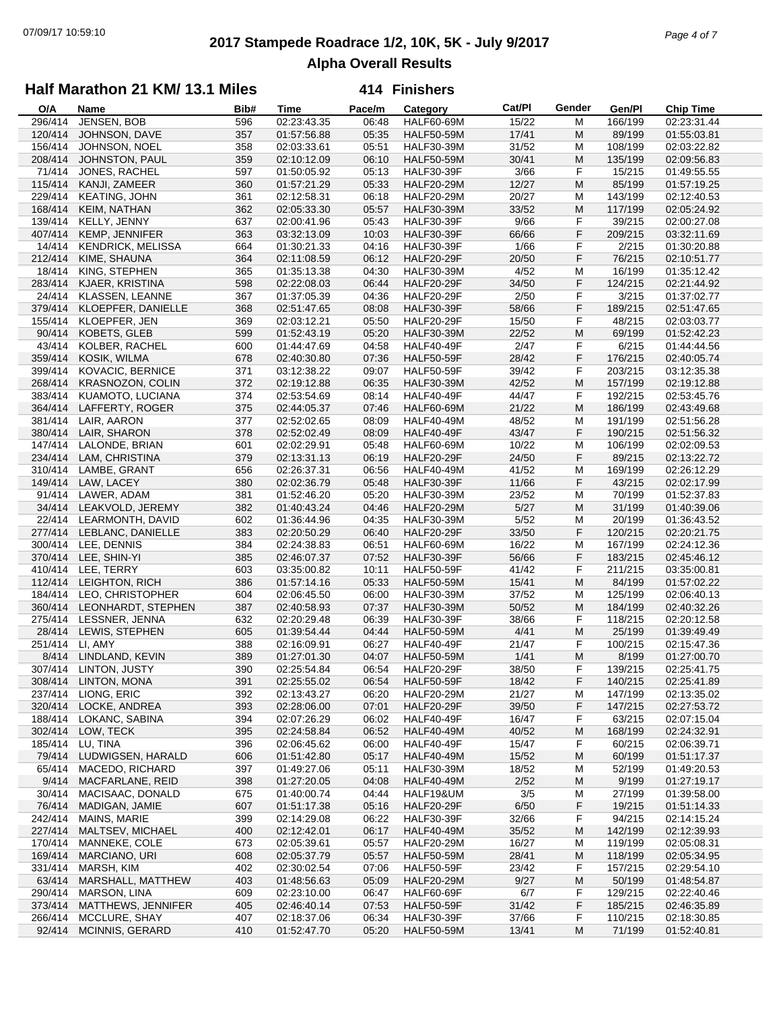# **2017 Stampede Roadrace 1/2, 10K, 5K - July 9/2017** 07/09/17 10:59:10 *Page 4 of 7* **Alpha Overall Results**

## **Half Marathon 21 KM/ 13.1 Miles**

| O/A     | Name                       | Bib# | Time        | Pace/m | Category          | Cat/PI | Gender | Gen/Pl  | <b>Chip Time</b> |
|---------|----------------------------|------|-------------|--------|-------------------|--------|--------|---------|------------------|
| 296/414 | JENSEN, BOB                | 596  | 02:23:43.35 | 06:48  | <b>HALF60-69M</b> | 15/22  | М      | 166/199 | 02:23:31.44      |
| 120/414 | JOHNSON, DAVE              | 357  | 01:57:56.88 | 05:35  | <b>HALF50-59M</b> | 17/41  | M      | 89/199  | 01:55:03.81      |
| 156/414 | <b>JOHNSON, NOEL</b>       | 358  | 02:03:33.61 | 05:51  | <b>HALF30-39M</b> | 31/52  | M      | 108/199 | 02:03:22.82      |
| 208/414 | JOHNSTON, PAUL             | 359  | 02:10:12.09 | 06:10  | <b>HALF50-59M</b> | 30/41  | M      | 135/199 | 02:09:56.83      |
| 71/414  | JONES, RACHEL              | 597  | 01:50:05.92 | 05:13  | <b>HALF30-39F</b> | 3/66   | F      | 15/215  | 01:49:55.55      |
| 115/414 | KANJI, ZAMEER              | 360  | 01:57:21.29 | 05:33  | <b>HALF20-29M</b> | 12/27  | M      | 85/199  | 01:57:19.25      |
| 229/414 | <b>KEATING, JOHN</b>       | 361  | 02:12:58.31 | 06:18  | <b>HALF20-29M</b> | 20/27  | М      | 143/199 | 02:12:40.53      |
| 168/414 | KEIM, NATHAN               | 362  | 02:05:33.30 | 05:57  | <b>HALF30-39M</b> | 33/52  | M      | 117/199 | 02:05:24.92      |
| 139/414 | KELLY, JENNY               | 637  | 02:00:41.96 | 05:43  | <b>HALF30-39F</b> | 9/66   | F      | 39/215  | 02:00:27.08      |
| 407/414 | KEMP, JENNIFER             | 363  | 03:32:13.09 | 10:03  | <b>HALF30-39F</b> | 66/66  | F      | 209/215 | 03:32:11.69      |
| 14/414  | <b>KENDRICK, MELISSA</b>   | 664  | 01:30:21.33 | 04:16  | <b>HALF30-39F</b> | 1/66   | F      | 2/215   | 01:30:20.88      |
| 212/414 |                            |      |             |        |                   |        |        |         |                  |
|         | KIME, SHAUNA               | 364  | 02:11:08.59 | 06:12  | <b>HALF20-29F</b> | 20/50  | F      | 76/215  | 02:10:51.77      |
| 18/414  | KING, STEPHEN              | 365  | 01:35:13.38 | 04:30  | <b>HALF30-39M</b> | 4/52   | M      | 16/199  | 01:35:12.42      |
| 283/414 | KJAER, KRISTINA            | 598  | 02:22:08.03 | 06:44  | <b>HALF20-29F</b> | 34/50  | F      | 124/215 | 02:21:44.92      |
| 24/414  | KLASSEN, LEANNE            | 367  | 01:37:05.39 | 04:36  | <b>HALF20-29F</b> | 2/50   | F      | 3/215   | 01:37:02.77      |
| 379/414 | KLOEPFER, DANIELLE         | 368  | 02:51:47.65 | 08:08  | <b>HALF30-39F</b> | 58/66  | F      | 189/215 | 02:51:47.65      |
| 155/414 | KLOEPFER, JEN              | 369  | 02:03:12.21 | 05:50  | <b>HALF20-29F</b> | 15/50  | F      | 48/215  | 02:03:03.77      |
| 90/414  | <b>KOBETS, GLEB</b>        | 599  | 01:52:43.19 | 05:20  | <b>HALF30-39M</b> | 22/52  | M      | 69/199  | 01:52:42.23      |
| 43/414  | KOLBER, RACHEL             | 600  | 01:44:47.69 | 04:58  | <b>HALF40-49F</b> | 2/47   | F      | 6/215   | 01:44:44.56      |
| 359/414 | KOSIK, WILMA               | 678  | 02:40:30.80 | 07:36  | <b>HALF50-59F</b> | 28/42  | F      | 176/215 | 02:40:05.74      |
| 399/414 | <b>KOVACIC, BERNICE</b>    | 371  | 03:12:38.22 | 09:07  | <b>HALF50-59F</b> | 39/42  | F      | 203/215 | 03:12:35.38      |
| 268/414 | <b>KRASNOZON, COLIN</b>    | 372  | 02:19:12.88 | 06:35  | <b>HALF30-39M</b> | 42/52  | M      | 157/199 | 02:19:12.88      |
| 383/414 | KUAMOTO, LUCIANA           | 374  | 02:53:54.69 | 08:14  | HALF40-49F        | 44/47  | F      | 192/215 | 02:53:45.76      |
| 364/414 | LAFFERTY, ROGER            | 375  | 02:44:05.37 | 07:46  | <b>HALF60-69M</b> | 21/22  | M      | 186/199 | 02:43:49.68      |
| 381/414 | LAIR, AARON                | 377  | 02:52:02.65 | 08:09  | <b>HALF40-49M</b> | 48/52  | М      | 191/199 | 02:51:56.28      |
| 380/414 | LAIR, SHARON               | 378  | 02:52:02.49 | 08:09  | HALF40-49F        | 43/47  | F      | 190/215 | 02:51:56.32      |
| 147/414 | LALONDE, BRIAN             | 601  | 02:02:29.91 | 05:48  | <b>HALF60-69M</b> | 10/22  | M      | 106/199 | 02:02:09.53      |
| 234/414 | LAM, CHRISTINA             | 379  | 02:13:31.13 | 06:19  | <b>HALF20-29F</b> | 24/50  | F      | 89/215  | 02:13:22.72      |
| 310/414 | LAMBE, GRANT               | 656  | 02:26:37.31 | 06:56  | <b>HALF40-49M</b> | 41/52  | M      | 169/199 | 02:26:12.29      |
| 149/414 | LAW, LACEY                 | 380  | 02:02:36.79 | 05:48  | <b>HALF30-39F</b> | 11/66  | F      | 43/215  | 02:02:17.99      |
| 91/414  |                            |      |             |        |                   |        |        | 70/199  |                  |
|         | LAWER, ADAM                | 381  | 01:52:46.20 | 05:20  | <b>HALF30-39M</b> | 23/52  | М      |         | 01:52:37.83      |
|         | 34/414 LEAKVOLD, JEREMY    | 382  | 01:40:43.24 | 04:46  | <b>HALF20-29M</b> | $5/27$ | M      | 31/199  | 01:40:39.06      |
|         | 22/414 LEARMONTH, DAVID    | 602  | 01:36:44.96 | 04:35  | <b>HALF30-39M</b> | $5/52$ | M      | 20/199  | 01:36:43.52      |
| 277/414 | LEBLANC, DANIELLE          | 383  | 02:20:50.29 | 06:40  | <b>HALF20-29F</b> | 33/50  | F      | 120/215 | 02:20:21.75      |
| 300/414 | LEE, DENNIS                | 384  | 02:24:38.83 | 06:51  | <b>HALF60-69M</b> | 16/22  | M      | 167/199 | 02:24:12.36      |
|         | 370/414 LEE, SHIN-YI       | 385  | 02:46:07.37 | 07:52  | <b>HALF30-39F</b> | 56/66  | F      | 183/215 | 02:45:46.12      |
| 410/414 | LEE, TERRY                 | 603  | 03:35:00.82 | 10:11  | <b>HALF50-59F</b> | 41/42  | F      | 211/215 | 03:35:00.81      |
| 112/414 | LEIGHTON, RICH             | 386  | 01:57:14.16 | 05:33  | <b>HALF50-59M</b> | 15/41  | M      | 84/199  | 01:57:02.22      |
| 184/414 | LEO, CHRISTOPHER           | 604  | 02:06:45.50 | 06:00  | <b>HALF30-39M</b> | 37/52  | M      | 125/199 | 02:06:40.13      |
|         | 360/414 LEONHARDT, STEPHEN | 387  | 02:40:58.93 | 07:37  | <b>HALF30-39M</b> | 50/52  | M      | 184/199 | 02:40:32.26      |
| 275/414 | LESSNER, JENNA             | 632  | 02:20:29.48 | 06:39  | <b>HALF30-39F</b> | 38/66  | F      | 118/215 | 02:20:12.58      |
| 28/414  | LEWIS, STEPHEN             | 605  | 01:39:54.44 | 04:44  | <b>HALF50-59M</b> | 4/41   | M      | 25/199  | 01:39:49.49      |
| 251/414 | LI. AMY                    | 388  | 02:16:09.91 | 06:27  | <b>HALF40-49F</b> | 21/47  | F      | 100/215 | 02:15:47.36      |
| 8/414   | LINDLAND, KEVIN            | 389  | 01:27:01.30 | 04:07  | <b>HALF50-59M</b> | 1/41   | M      | 8/199   | 01:27:00.70      |
|         | 307/414 LINTON, JUSTY      | 390  | 02:25:54.84 | 06:54  | <b>HALF20-29F</b> | 38/50  | F      | 139/215 | 02:25:41.75      |
| 308/414 | LINTON, MONA               | 391  | 02:25:55.02 | 06:54  | <b>HALF50-59F</b> | 18/42  | F      | 140/215 | 02:25:41.89      |
| 237/414 | LIONG, ERIC                | 392  | 02:13:43.27 | 06:20  | <b>HALF20-29M</b> | 21/27  | М      | 147/199 | 02:13:35.02      |
| 320/414 | LOCKE, ANDREA              | 393  | 02:28:06.00 | 07:01  | <b>HALF20-29F</b> | 39/50  | F      | 147/215 | 02:27:53.72      |
| 188/414 | LOKANC, SABINA             | 394  | 02:07:26.29 | 06:02  | HALF40-49F        | 16/47  | F      | 63/215  | 02:07:15.04      |
| 302/414 | LOW, TECK                  | 395  | 02:24:58.84 | 06:52  | <b>HALF40-49M</b> | 40/52  | M      | 168/199 | 02:24:32.91      |
| 185/414 | LU, TINA                   | 396  | 02:06:45.62 | 06:00  | HALF40-49F        | 15/47  | F      | 60/215  | 02:06:39.71      |
| 79/414  | LUDWIGSEN, HARALD          | 606  | 01:51:42.80 | 05:17  | <b>HALF40-49M</b> | 15/52  | M      | 60/199  | 01:51:17.37      |
| 65/414  | MACEDO, RICHARD            | 397  | 01:49:27.06 | 05:11  | <b>HALF30-39M</b> | 18/52  | M      | 52/199  | 01:49:20.53      |
| 9/414   | MACFARLANE, REID           | 398  | 01:27:20.05 | 04:08  | <b>HALF40-49M</b> | 2/52   | M      | 9/199   | 01:27:19.17      |
|         |                            |      |             |        |                   |        |        |         |                  |
| 30/414  | MACISAAC, DONALD           | 675  | 01:40:00.74 | 04:44  | HALF19&UM         | 3/5    | М      | 27/199  | 01:39:58.00      |
| 76/414  | MADIGAN, JAMIE             | 607  | 01:51:17.38 | 05:16  | <b>HALF20-29F</b> | 6/50   | F      | 19/215  | 01:51:14.33      |
| 242/414 | <b>MAINS, MARIE</b>        | 399  | 02:14:29.08 | 06:22  | <b>HALF30-39F</b> | 32/66  | F      | 94/215  | 02:14:15.24      |
| 227/414 | MALTSEV, MICHAEL           | 400  | 02:12:42.01 | 06:17  | <b>HALF40-49M</b> | 35/52  | M      | 142/199 | 02:12:39.93      |
| 170/414 | MANNEKE, COLE              | 673  | 02:05:39.61 | 05:57  | <b>HALF20-29M</b> | 16/27  | M      | 119/199 | 02:05:08.31      |
| 169/414 | MARCIANO, URI              | 608  | 02:05:37.79 | 05:57  | <b>HALF50-59M</b> | 28/41  | M      | 118/199 | 02:05:34.95      |
| 331/414 | MARSH, KIM                 | 402  | 02:30:02.54 | 07:06  | <b>HALF50-59F</b> | 23/42  | F      | 157/215 | 02:29:54.10      |
| 63/414  | MARSHALL, MATTHEW          | 403  | 01:48:56.63 | 05:09  | <b>HALF20-29M</b> | 9/27   | M      | 50/199  | 01:48:54.87      |
| 290/414 | MARSON, LINA               | 609  | 02:23:10.00 | 06:47  | HALF60-69F        | 6/7    | F      | 129/215 | 02:22:40.46      |
| 373/414 | MATTHEWS, JENNIFER         | 405  | 02:46:40.14 | 07:53  | <b>HALF50-59F</b> | 31/42  | F      | 185/215 | 02:46:35.89      |
| 266/414 | MCCLURE, SHAY              | 407  | 02:18:37.06 | 06:34  | <b>HALF30-39F</b> | 37/66  | F      | 110/215 | 02:18:30.85      |
| 92/414  | MCINNIS, GERARD            | 410  | 01:52:47.70 | 05:20  | <b>HALF50-59M</b> | 13/41  | M      | 71/199  | 01:52:40.81      |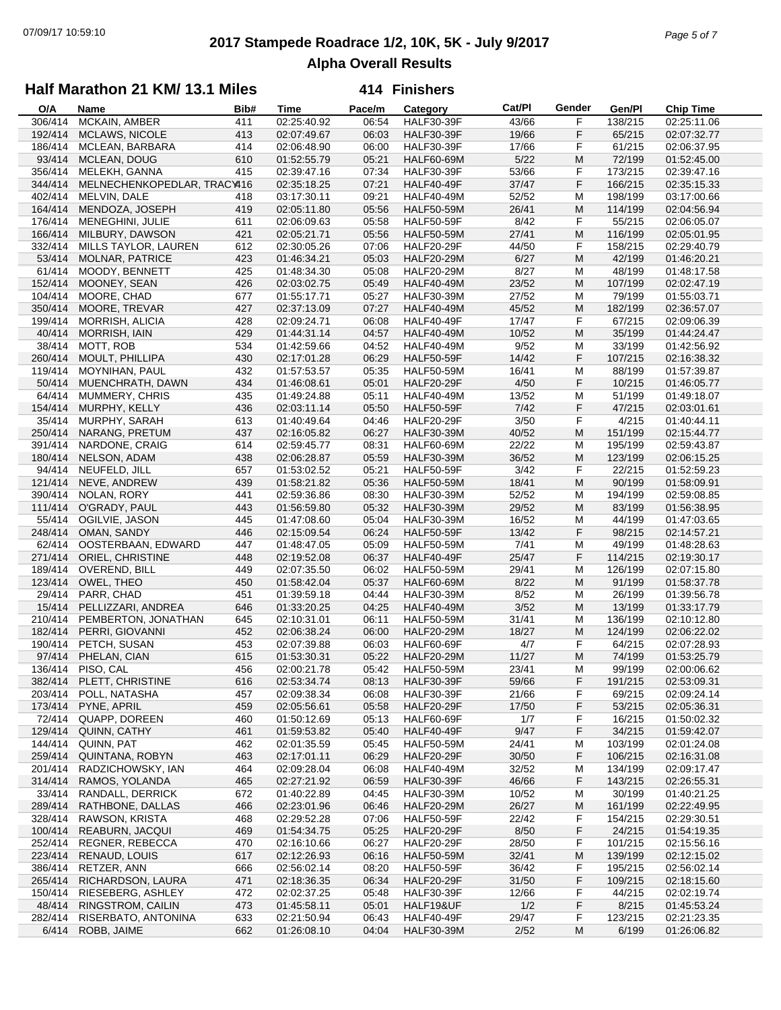# **2017 Stampede Roadrace 1/2, 10K, 5K - July 9/2017** 07/09/17 10:59:10 *Page 5 of 7* **Alpha Overall Results**

## **Half Marathon 21 KM/ 13.1 Miles**

| O/A     | Name                        | Bib# | <b>Time</b> | Pace/m | Category          | Cat/Pl | Gender | Gen/Pl  | <b>Chip Time</b> |
|---------|-----------------------------|------|-------------|--------|-------------------|--------|--------|---------|------------------|
| 306/414 | MCKAIN, AMBER               | 411  | 02:25:40.92 | 06:54  | <b>HALF30-39F</b> | 43/66  | F      | 138/215 | 02:25:11.06      |
| 192/414 | MCLAWS, NICOLE              | 413  | 02:07:49.67 | 06:03  | <b>HALF30-39F</b> | 19/66  | F      | 65/215  | 02:07:32.77      |
| 186/414 | MCLEAN, BARBARA             | 414  | 02:06:48.90 | 06:00  | <b>HALF30-39F</b> | 17/66  | F      | 61/215  | 02:06:37.95      |
| 93/414  | MCLEAN, DOUG                | 610  | 01:52:55.79 | 05:21  | <b>HALF60-69M</b> | 5/22   | M      | 72/199  | 01:52:45.00      |
| 356/414 | MELEKH, GANNA               | 415  | 02:39:47.16 | 07:34  | <b>HALF30-39F</b> | 53/66  | F      | 173/215 | 02:39:47.16      |
| 344/414 | MELNECHENKOPEDLAR, TRACY416 |      | 02:35:18.25 | 07:21  | <b>HALF40-49F</b> | 37/47  | F      | 166/215 | 02:35:15.33      |
| 402/414 | MELVIN, DALE                | 418  | 03:17:30.11 | 09:21  | <b>HALF40-49M</b> | 52/52  | M      | 198/199 | 03:17:00.66      |
| 164/414 |                             |      | 02:05:11.80 | 05:56  |                   |        | M      |         |                  |
|         | MENDOZA, JOSEPH             | 419  |             |        | <b>HALF50-59M</b> | 26/41  |        | 114/199 | 02:04:56.94      |
| 176/414 | MENEGHINI, JULIE            | 611  | 02:06:09.63 | 05:58  | <b>HALF50-59F</b> | 8/42   | F      | 55/215  | 02:06:05.07      |
| 166/414 | MILBURY, DAWSON             | 421  | 02:05:21.71 | 05:56  | <b>HALF50-59M</b> | 27/41  | M      | 116/199 | 02:05:01.95      |
| 332/414 | MILLS TAYLOR, LAUREN        | 612  | 02:30:05.26 | 07:06  | <b>HALF20-29F</b> | 44/50  | F      | 158/215 | 02:29:40.79      |
| 53/414  | <b>MOLNAR, PATRICE</b>      | 423  | 01:46:34.21 | 05:03  | <b>HALF20-29M</b> | 6/27   | M      | 42/199  | 01:46:20.21      |
| 61/414  | MOODY, BENNETT              | 425  | 01:48:34.30 | 05:08  | <b>HALF20-29M</b> | 8/27   | M      | 48/199  | 01:48:17.58      |
| 152/414 | MOONEY, SEAN                | 426  | 02:03:02.75 | 05:49  | <b>HALF40-49M</b> | 23/52  | M      | 107/199 | 02:02:47.19      |
| 104/414 | MOORE, CHAD                 | 677  | 01:55:17.71 | 05:27  | <b>HALF30-39M</b> | 27/52  | M      | 79/199  | 01:55:03.71      |
| 350/414 | MOORE, TREVAR               | 427  | 02:37:13.09 | 07:27  | <b>HALF40-49M</b> | 45/52  | M      | 182/199 | 02:36:57.07      |
| 199/414 | MORRISH, ALICIA             | 428  | 02:09:24.71 | 06:08  | <b>HALF40-49F</b> | 17/47  | F      | 67/215  | 02:09:06.39      |
| 40/414  | <b>MORRISH, IAIN</b>        | 429  | 01:44:31.14 | 04:57  | <b>HALF40-49M</b> | 10/52  | M      | 35/199  | 01:44:24.47      |
| 38/414  | MOTT, ROB                   | 534  | 01:42:59.66 | 04:52  | <b>HALF40-49M</b> | 9/52   | M      | 33/199  | 01:42:56.92      |
| 260/414 | MOULT, PHILLIPA             | 430  | 02:17:01.28 | 06:29  | <b>HALF50-59F</b> | 14/42  | F      | 107/215 | 02:16:38.32      |
| 119/414 | MOYNIHAN, PAUL              | 432  | 01:57:53.57 | 05:35  | <b>HALF50-59M</b> | 16/41  | M      | 88/199  | 01:57:39.87      |
| 50/414  | MUENCHRATH, DAWN            | 434  | 01:46:08.61 | 05:01  | <b>HALF20-29F</b> | 4/50   | F      | 10/215  | 01:46:05.77      |
|         |                             |      |             |        |                   |        |        |         |                  |
| 64/414  | MUMMERY, CHRIS              | 435  | 01:49:24.88 | 05:11  | <b>HALF40-49M</b> | 13/52  | M      | 51/199  | 01:49:18.07      |
| 154/414 | MURPHY, KELLY               | 436  | 02:03:11.14 | 05:50  | <b>HALF50-59F</b> | $7/42$ | F      | 47/215  | 02:03:01.61      |
| 35/414  | MURPHY, SARAH               | 613  | 01:40:49.64 | 04:46  | <b>HALF20-29F</b> | 3/50   | F      | 4/215   | 01:40:44.11      |
| 250/414 | NARANG, PRETUM              | 437  | 02:16:05.82 | 06:27  | <b>HALF30-39M</b> | 40/52  | M      | 151/199 | 02:15:44.77      |
| 391/414 | NARDONE, CRAIG              | 614  | 02:59:45.77 | 08:31  | <b>HALF60-69M</b> | 22/22  | M      | 195/199 | 02:59:43.87      |
| 180/414 | NELSON, ADAM                | 438  | 02:06:28.87 | 05:59  | <b>HALF30-39M</b> | 36/52  | M      | 123/199 | 02:06:15.25      |
| 94/414  | NEUFELD, JILL               | 657  | 01:53:02.52 | 05:21  | <b>HALF50-59F</b> | 3/42   | F      | 22/215  | 01:52:59.23      |
| 121/414 | NEVE, ANDREW                | 439  | 01:58:21.82 | 05:36  | <b>HALF50-59M</b> | 18/41  | M      | 90/199  | 01:58:09.91      |
| 390/414 | NOLAN, RORY                 | 441  | 02:59:36.86 | 08:30  | <b>HALF30-39M</b> | 52/52  | M      | 194/199 | 02:59:08.85      |
| 111/414 | O'GRADY, PAUL               | 443  | 01:56:59.80 | 05:32  | <b>HALF30-39M</b> | 29/52  | M      | 83/199  | 01:56:38.95      |
| 55/414  | OGILVIE, JASON              | 445  | 01:47:08.60 | 05:04  | <b>HALF30-39M</b> | 16/52  | М      | 44/199  | 01:47:03.65      |
| 248/414 | OMAN, SANDY                 | 446  | 02:15:09.54 | 06:24  | <b>HALF50-59F</b> | 13/42  | F      | 98/215  | 02:14:57.21      |
| 62/414  | OOSTERBAAN, EDWARD          | 447  | 01:48:47.05 | 05:09  | <b>HALF50-59M</b> | 7/41   | M      | 49/199  | 01:48:28.63      |
| 271/414 | ORIEL, CHRISTINE            | 448  | 02:19:52.08 | 06:37  | <b>HALF40-49F</b> | 25/47  | F      | 114/215 | 02:19:30.17      |
|         |                             |      |             |        |                   |        |        |         |                  |
| 189/414 | OVEREND, BILL               | 449  | 02:07:35.50 | 06:02  | <b>HALF50-59M</b> | 29/41  | M      | 126/199 | 02:07:15.80      |
| 123/414 | OWEL, THEO                  | 450  | 01:58:42.04 | 05:37  | <b>HALF60-69M</b> | 8/22   | M      | 91/199  | 01:58:37.78      |
| 29/414  | PARR, CHAD                  | 451  | 01:39:59.18 | 04:44  | <b>HALF30-39M</b> | 8/52   | M      | 26/199  | 01:39:56.78      |
| 15/414  | PELLIZZARI, ANDREA          | 646  | 01:33:20.25 | 04:25  | <b>HALF40-49M</b> | 3/52   | M      | 13/199  | 01:33:17.79      |
| 210/414 | PEMBERTON, JONATHAN         | 645  | 02:10:31.01 | 06:11  | <b>HALF50-59M</b> | 31/41  | М      | 136/199 | 02:10:12.80      |
| 182/414 | PERRI, GIOVANNI             | 452  | 02:06:38.24 | 06:00  | <b>HALF20-29M</b> | 18/27  | M      | 124/199 | 02:06:22.02      |
| 190/414 | PETCH, SUSAN                | 453  | 02:07:39.88 | 06:03  | <b>HALF60-69F</b> | 4/7    | F      | 64/215  | 02:07:28.93      |
| 97/414  | PHELAN, CIAN                | 615  | 01:53:30.31 | 05:22  | <b>HALF20-29M</b> | 11/27  | M      | 74/199  | 01:53:25.79      |
|         | 136/414 PISO, CAL           | 456  | 02:00:21.78 | 05:42  | <b>HALF50-59M</b> | 23/41  | M      | 99/199  | 02:00:06.62      |
| 382/414 | PLETT, CHRISTINE            | 616  | 02:53:34.74 | 08:13  | <b>HALF30-39F</b> | 59/66  | F      | 191/215 | 02:53:09.31      |
| 203/414 | POLL, NATASHA               | 457  | 02:09:38.34 | 06:08  | <b>HALF30-39F</b> | 21/66  | F      | 69/215  | 02:09:24.14      |
| 173/414 | PYNE, APRIL                 | 459  | 02:05:56.61 | 05:58  | <b>HALF20-29F</b> | 17/50  | F      | 53/215  | 02:05:36.31      |
| 72/414  | QUAPP, DOREEN               | 460  | 01:50:12.69 | 05:13  | HALF60-69F        | 1/7    | F      | 16/215  | 01:50:02.32      |
| 129/414 | QUINN, CATHY                | 461  | 01:59:53.82 | 05:40  | <b>HALF40-49F</b> | 9/47   | F      | 34/215  | 01:59:42.07      |
| 144/414 | QUINN, PAT                  | 462  | 02:01:35.59 | 05:45  | <b>HALF50-59M</b> | 24/41  | M      | 103/199 | 02:01:24.08      |
| 259/414 | <b>QUINTANA, ROBYN</b>      | 463  | 02:17:01.11 | 06:29  | <b>HALF20-29F</b> | 30/50  | F      | 106/215 | 02:16:31.08      |
|         | RADZICHOWSKY, IAN           |      | 02:09:28.04 |        |                   |        |        |         |                  |
| 201/414 |                             | 464  |             | 06:08  | <b>HALF40-49M</b> | 32/52  | M      | 134/199 | 02:09:17.47      |
| 314/414 | RAMOS, YOLANDA              | 465  | 02:27:21.92 | 06:59  | <b>HALF30-39F</b> | 46/66  | F      | 143/215 | 02:26:55.31      |
| 33/414  | RANDALL, DERRICK            | 672  | 01:40:22.89 | 04:45  | <b>HALF30-39M</b> | 10/52  | M      | 30/199  | 01:40:21.25      |
| 289/414 | RATHBONE, DALLAS            | 466  | 02:23:01.96 | 06:46  | <b>HALF20-29M</b> | 26/27  | M      | 161/199 | 02:22:49.95      |
| 328/414 | RAWSON, KRISTA              | 468  | 02:29:52.28 | 07:06  | <b>HALF50-59F</b> | 22/42  | F      | 154/215 | 02:29:30.51      |
| 100/414 | REABURN, JACQUI             | 469  | 01:54:34.75 | 05:25  | <b>HALF20-29F</b> | 8/50   | F      | 24/215  | 01:54:19.35      |
| 252/414 | REGNER, REBECCA             | 470  | 02:16:10.66 | 06:27  | HALF20-29F        | 28/50  | F      | 101/215 | 02:15:56.16      |
| 223/414 | RENAUD, LOUIS               | 617  | 02:12:26.93 | 06:16  | <b>HALF50-59M</b> | 32/41  | M      | 139/199 | 02:12:15.02      |
| 386/414 | RETZER, ANN                 | 666  | 02:56:02.14 | 08:20  | <b>HALF50-59F</b> | 36/42  | F      | 195/215 | 02:56:02.14      |
| 265/414 | RICHARDSON, LAURA           | 471  | 02:18:36.35 | 06:34  | <b>HALF20-29F</b> | 31/50  | F      | 109/215 | 02:18:15.60      |
| 150/414 | RIESEBERG, ASHLEY           | 472  | 02:02:37.25 | 05:48  | HALF30-39F        | 12/66  | F      | 44/215  | 02:02:19.74      |
| 48/414  | RINGSTROM, CAILIN           | 473  | 01:45:58.11 | 05:01  | HALF19&UF         | 1/2    | F      | 8/215   | 01:45:53.24      |
| 282/414 | RISERBATO, ANTONINA         | 633  | 02:21:50.94 | 06:43  | <b>HALF40-49F</b> | 29/47  | F      | 123/215 | 02:21:23.35      |
| 6/414   | ROBB, JAIME                 | 662  | 01:26:08.10 | 04:04  | <b>HALF30-39M</b> | 2/52   | M      | 6/199   | 01:26:06.82      |
|         |                             |      |             |        |                   |        |        |         |                  |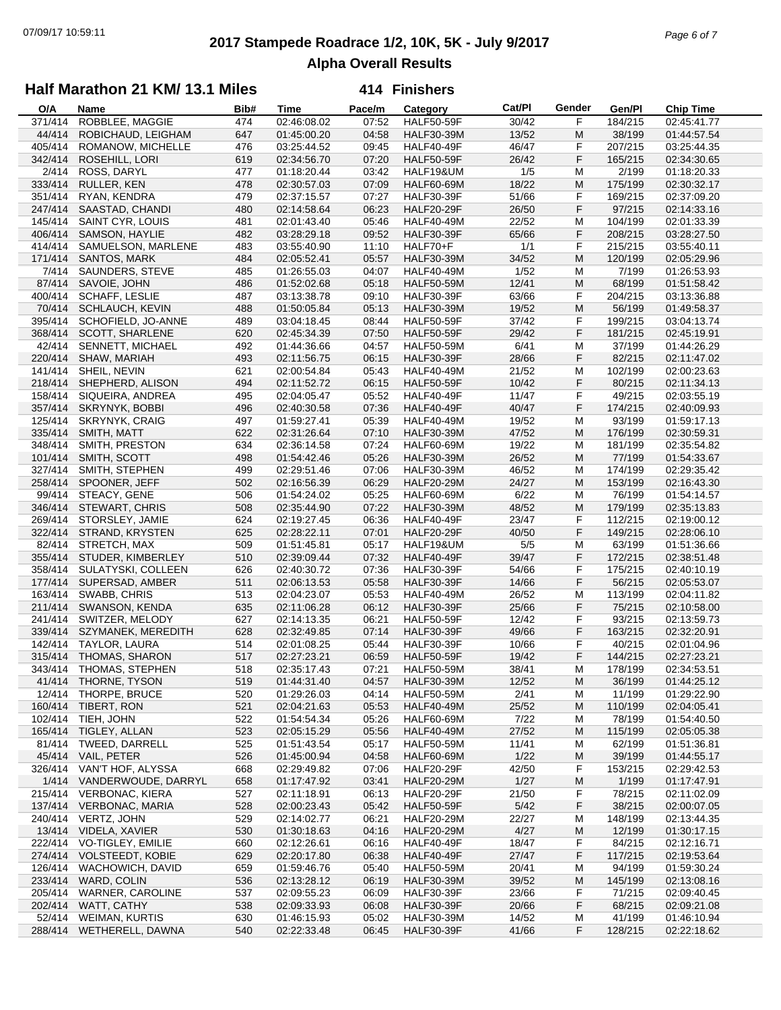# **2017 Stampede Roadrace 1/2, 10K, 5K - July 9/2017** 07/09/17 10:59:11 *Page 6 of 7* **Alpha Overall Results**

### **Half Marathon 21 KM/ 13.1 Miles**

| O/A     | Name                    | Bib# | <b>Time</b> | Pace/m | Category          | Cat/PI | Gender | Gen/Pl  | <b>Chip Time</b> |
|---------|-------------------------|------|-------------|--------|-------------------|--------|--------|---------|------------------|
| 371/414 | ROBBLEE, MAGGIE         | 474  | 02:46:08.02 | 07:52  | <b>HALF50-59F</b> | 30/42  | F      | 184/215 | 02:45:41.77      |
| 44/414  | ROBICHAUD, LEIGHAM      | 647  | 01:45:00.20 | 04:58  | <b>HALF30-39M</b> | 13/52  | M      | 38/199  | 01:44:57.54      |
| 405/414 | ROMANOW, MICHELLE       | 476  | 03:25:44.52 | 09:45  | <b>HALF40-49F</b> | 46/47  | F      | 207/215 | 03:25:44.35      |
| 342/414 | ROSEHILL, LORI          | 619  | 02:34:56.70 | 07:20  | <b>HALF50-59F</b> | 26/42  | F      | 165/215 | 02:34:30.65      |
| 2/414   | ROSS, DARYL             | 477  | 01:18:20.44 | 03:42  | HALF19&UM         | 1/5    | M      | 2/199   | 01:18:20.33      |
| 333/414 | RULLER, KEN             | 478  | 02:30:57.03 | 07:09  | <b>HALF60-69M</b> | 18/22  | M      | 175/199 | 02:30:32.17      |
| 351/414 | RYAN, KENDRA            | 479  | 02:37:15.57 | 07:27  | <b>HALF30-39F</b> | 51/66  | F      | 169/215 | 02:37:09.20      |
| 247/414 | SAASTAD, CHANDI         | 480  | 02:14:58.64 | 06:23  | <b>HALF20-29F</b> | 26/50  | F      | 97/215  | 02:14:33.16      |
| 145/414 | SAINT CYR, LOUIS        | 481  | 02:01:43.40 | 05:46  | <b>HALF40-49M</b> | 22/52  | M      | 104/199 | 02:01:33.39      |
| 406/414 |                         |      |             |        |                   |        |        |         | 03:28:27.50      |
|         | SAMSON, HAYLIE          | 482  | 03:28:29.18 | 09:52  | <b>HALF30-39F</b> | 65/66  | F      | 208/215 |                  |
| 414/414 | SAMUELSON, MARLENE      | 483  | 03:55:40.90 | 11:10  | HALF70+F          | 1/1    | F      | 215/215 | 03:55:40.11      |
| 171/414 | <b>SANTOS, MARK</b>     | 484  | 02:05:52.41 | 05:57  | <b>HALF30-39M</b> | 34/52  | M      | 120/199 | 02:05:29.96      |
| 7/414   | SAUNDERS, STEVE         | 485  | 01:26:55.03 | 04:07  | <b>HALF40-49M</b> | 1/52   | м      | 7/199   | 01:26:53.93      |
| 87/414  | SAVOIE, JOHN            | 486  | 01:52:02.68 | 05:18  | <b>HALF50-59M</b> | 12/41  | M      | 68/199  | 01:51:58.42      |
| 400/414 | <b>SCHAFF, LESLIE</b>   | 487  | 03:13:38.78 | 09:10  | <b>HALF30-39F</b> | 63/66  | F      | 204/215 | 03:13:36.88      |
| 70/414  | <b>SCHLAUCH, KEVIN</b>  | 488  | 01:50:05.84 | 05:13  | <b>HALF30-39M</b> | 19/52  | M      | 56/199  | 01:49:58.37      |
| 395/414 | SCHOFIELD, JO-ANNE      | 489  | 03:04:18.45 | 08:44  | <b>HALF50-59F</b> | 37/42  | F      | 199/215 | 03:04:13.74      |
| 368/414 | SCOTT, SHARLENE         | 620  | 02:45:34.39 | 07:50  | <b>HALF50-59F</b> | 29/42  | F      | 181/215 | 02:45:19.91      |
| 42/414  | SENNETT, MICHAEL        | 492  | 01:44:36.66 | 04:57  | <b>HALF50-59M</b> | 6/41   | M      | 37/199  | 01:44:26.29      |
| 220/414 | SHAW, MARIAH            | 493  | 02:11:56.75 | 06:15  | <b>HALF30-39F</b> | 28/66  | F      | 82/215  | 02:11:47.02      |
| 141/414 | SHEIL, NEVIN            | 621  | 02:00:54.84 | 05:43  | <b>HALF40-49M</b> | 21/52  | M      | 102/199 | 02:00:23.63      |
| 218/414 | SHEPHERD, ALISON        | 494  | 02:11:52.72 | 06:15  | <b>HALF50-59F</b> | 10/42  | F      | 80/215  | 02:11:34.13      |
| 158/414 | SIQUEIRA, ANDREA        | 495  | 02:04:05.47 | 05:52  | <b>HALF40-49F</b> | 11/47  | F      | 49/215  | 02:03:55.19      |
| 357/414 | SKRYNYK, BOBBI          | 496  | 02:40:30.58 | 07:36  | <b>HALF40-49F</b> | 40/47  | F      | 174/215 | 02:40:09.93      |
|         |                         |      |             |        |                   |        |        |         |                  |
| 125/414 | <b>SKRYNYK, CRAIG</b>   | 497  | 01:59:27.41 | 05:39  | <b>HALF40-49M</b> | 19/52  | M      | 93/199  | 01:59:17.13      |
| 335/414 | SMITH, MATT             | 622  | 02:31:26.64 | 07:10  | <b>HALF30-39M</b> | 47/52  | M      | 176/199 | 02:30:59.31      |
| 348/414 | SMITH, PRESTON          | 634  | 02:36:14.58 | 07:24  | <b>HALF60-69M</b> | 19/22  | M      | 181/199 | 02:35:54.82      |
| 101/414 | SMITH, SCOTT            | 498  | 01:54:42.46 | 05:26  | <b>HALF30-39M</b> | 26/52  | M      | 77/199  | 01:54:33.67      |
| 327/414 | SMITH, STEPHEN          | 499  | 02:29:51.46 | 07:06  | <b>HALF30-39M</b> | 46/52  | м      | 174/199 | 02:29:35.42      |
| 258/414 | SPOONER, JEFF           | 502  | 02:16:56.39 | 06:29  | <b>HALF20-29M</b> | 24/27  | M      | 153/199 | 02:16:43.30      |
| 99/414  | STEACY, GENE            | 506  | 01:54:24.02 | 05:25  | <b>HALF60-69M</b> | 6/22   | M      | 76/199  | 01:54:14.57      |
| 346/414 | <b>STEWART, CHRIS</b>   | 508  | 02:35:44.90 | 07:22  | <b>HALF30-39M</b> | 48/52  | M      | 179/199 | 02:35:13.83      |
| 269/414 | STORSLEY, JAMIE         | 624  | 02:19:27.45 | 06:36  | <b>HALF40-49F</b> | 23/47  | F      | 112/215 | 02:19:00.12      |
| 322/414 | STRAND, KRYSTEN         | 625  | 02:28:22.11 | 07:01  | <b>HALF20-29F</b> | 40/50  | F      | 149/215 | 02:28:06.10      |
| 82/414  | STRETCH, MAX            | 509  | 01:51:45.81 | 05:17  | HALF19&UM         | 5/5    | м      | 63/199  | 01:51:36.66      |
| 355/414 | STUDER, KIMBERLEY       | 510  | 02:39:09.44 | 07:32  | <b>HALF40-49F</b> | 39/47  | F      | 172/215 | 02:38:51.48      |
| 358/414 | SULATYSKI, COLLEEN      | 626  | 02:40:30.72 | 07:36  | <b>HALF30-39F</b> | 54/66  | F      | 175/215 | 02:40:10.19      |
| 177/414 | SUPERSAD, AMBER         | 511  | 02:06:13.53 | 05:58  | <b>HALF30-39F</b> | 14/66  | F      | 56/215  | 02:05:53.07      |
| 163/414 | SWABB, CHRIS            | 513  | 02:04:23.07 | 05:53  | <b>HALF40-49M</b> | 26/52  | M      | 113/199 | 02:04:11.82      |
| 211/414 | SWANSON, KENDA          | 635  | 02:11:06.28 | 06:12  | <b>HALF30-39F</b> | 25/66  | F      | 75/215  | 02:10:58.00      |
| 241/414 | SWITZER, MELODY         |      |             |        |                   |        | F      |         |                  |
|         |                         | 627  | 02:14:13.35 | 06:21  | <b>HALF50-59F</b> | 12/42  |        | 93/215  | 02:13:59.73      |
| 339/414 | SZYMANEK, MEREDITH      | 628  | 02:32:49.85 | 07:14  | <b>HALF30-39F</b> | 49/66  | F      | 163/215 | 02:32:20.91      |
| 142/414 | TAYLOR, LAURA           | 514  | 02:01:08.25 | 05:44  | <b>HALF30-39F</b> | 10/66  | F      | 40/215  | 02:01:04.96      |
| 315/414 | THOMAS, SHARON          | 517  | 02:27:23.21 | 06:59  | <b>HALF50-59F</b> | 19/42  | F      | 144/215 | 02:27:23.21      |
| 343/414 | THOMAS, STEPHEN         | 518  | 02:35:17.43 | 07:21  | <b>HALF50-59M</b> | 38/41  | M      | 178/199 | 02:34:53.51      |
|         | 41/414 THORNE, TYSON    | 519  | 01:44:31.40 | 04:57  | <b>HALF30-39M</b> | 12/52  | M      | 36/199  | 01:44:25.12      |
| 12/414  | THORPE, BRUCE           | 520  | 01:29:26.03 | 04:14  | <b>HALF50-59M</b> | 2/41   | M      | 11/199  | 01:29:22.90      |
| 160/414 | TIBERT, RON             | 521  | 02:04:21.63 | 05:53  | <b>HALF40-49M</b> | 25/52  | M      | 110/199 | 02:04:05.41      |
| 102/414 | TIEH, JOHN              | 522  | 01:54:54.34 | 05:26  | <b>HALF60-69M</b> | 7/22   | м      | 78/199  | 01:54:40.50      |
| 165/414 | TIGLEY, ALLAN           | 523  | 02:05:15.29 | 05:56  | <b>HALF40-49M</b> | 27/52  | M      | 115/199 | 02:05:05.38      |
| 81/414  | TWEED, DARRELL          | 525  | 01:51:43.54 | 05:17  | <b>HALF50-59M</b> | 11/41  | M      | 62/199  | 01:51:36.81      |
| 45/414  | VAIL, PETER             | 526  | 01:45:00.94 | 04:58  | <b>HALF60-69M</b> | 1/22   | M      | 39/199  | 01:44:55.17      |
| 326/414 | VAN'T HOF, ALYSSA       | 668  | 02:29:49.82 | 07:06  | <b>HALF20-29F</b> | 42/50  | F      | 153/215 | 02:29:42.53      |
| 1/414   | VANDERWOUDE, DARRYL     | 658  | 01:17:47.92 | 03:41  | <b>HALF20-29M</b> | 1/27   | M      | 1/199   | 01:17:47.91      |
| 215/414 | <b>VERBONAC, KIERA</b>  | 527  | 02:11:18.91 | 06:13  | <b>HALF20-29F</b> | 21/50  | F      | 78/215  | 02:11:02.09      |
| 137/414 | <b>VERBONAC, MARIA</b>  | 528  | 02:00:23.43 | 05:42  | <b>HALF50-59F</b> | $5/42$ | F      | 38/215  | 02:00:07.05      |
| 240/414 | VERTZ, JOHN             | 529  | 02:14:02.77 | 06:21  | <b>HALF20-29M</b> | 22/27  |        | 148/199 | 02:13:44.35      |
|         |                         |      |             |        |                   |        | M      |         |                  |
| 13/414  | VIDELA, XAVIER          | 530  | 01:30:18.63 | 04:16  | <b>HALF20-29M</b> | 4/27   | M      | 12/199  | 01:30:17.15      |
| 222/414 | VO-TIGLEY, EMILIE       | 660  | 02:12:26.61 | 06:16  | <b>HALF40-49F</b> | 18/47  | F      | 84/215  | 02:12:16.71      |
| 274/414 | <b>VOLSTEEDT, KOBIE</b> | 629  | 02:20:17.80 | 06:38  | <b>HALF40-49F</b> | 27/47  | F      | 117/215 | 02:19:53.64      |
| 126/414 | WACHOWICH, DAVID        | 659  | 01:59:46.76 | 05:40  | <b>HALF50-59M</b> | 20/41  | M      | 94/199  | 01:59:30.24      |
| 233/414 | WARD, COLIN             | 536  | 02:13:28.12 | 06:19  | <b>HALF30-39M</b> | 39/52  | M      | 145/199 | 02:13:08.16      |
| 205/414 | WARNER, CAROLINE        | 537  | 02:09:55.23 | 06:09  | <b>HALF30-39F</b> | 23/66  | F      | 71/215  | 02:09:40.45      |
| 202/414 | WATT, CATHY             | 538  | 02:09:33.93 | 06:08  | <b>HALF30-39F</b> | 20/66  | F      | 68/215  | 02:09:21.08      |
| 52/414  | <b>WEIMAN, KURTIS</b>   | 630  | 01:46:15.93 | 05:02  | <b>HALF30-39M</b> | 14/52  | M      | 41/199  | 01:46:10.94      |
| 288/414 | WETHERELL, DAWNA        | 540  | 02:22:33.48 | 06:45  | <b>HALF30-39F</b> | 41/66  | F      | 128/215 | 02:22:18.62      |